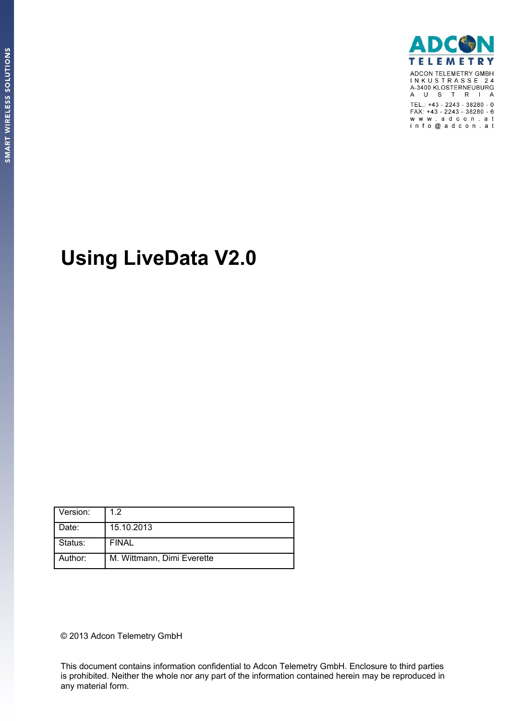

# **Using LiveData V2.0**

| Version: | 1.2                        |
|----------|----------------------------|
| Date:    | 15.10.2013                 |
| Status:  | <b>FINAL</b>               |
| Author:  | M. Wittmann, Dimi Everette |

© 2013 Adcon Telemetry GmbH

This document contains information confidential to Adcon Telemetry GmbH. Enclosure to third parties is prohibited. Neither the whole nor any part of the information contained herein may be reproduced in any material form.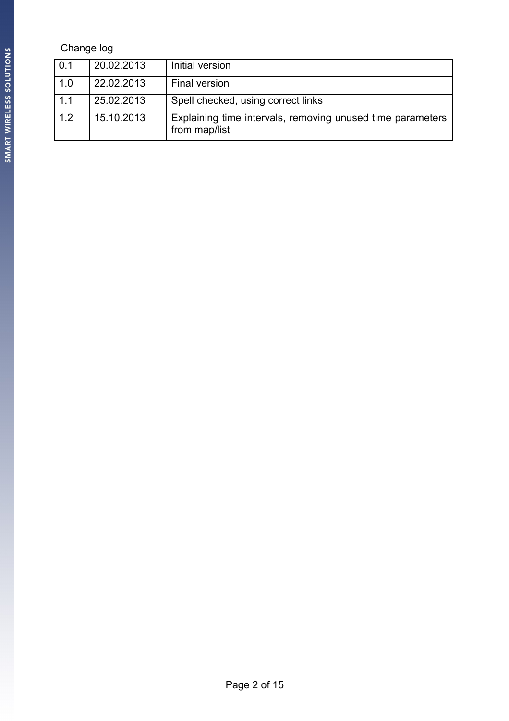### Change log

| 0.1 | 20.02.2013 | Initial version                                                             |
|-----|------------|-----------------------------------------------------------------------------|
| 1.0 | 22.02.2013 | Final version                                                               |
| 1.1 | 25.02.2013 | Spell checked, using correct links                                          |
| 1.2 | 15.10.2013 | Explaining time intervals, removing unused time parameters<br>from map/list |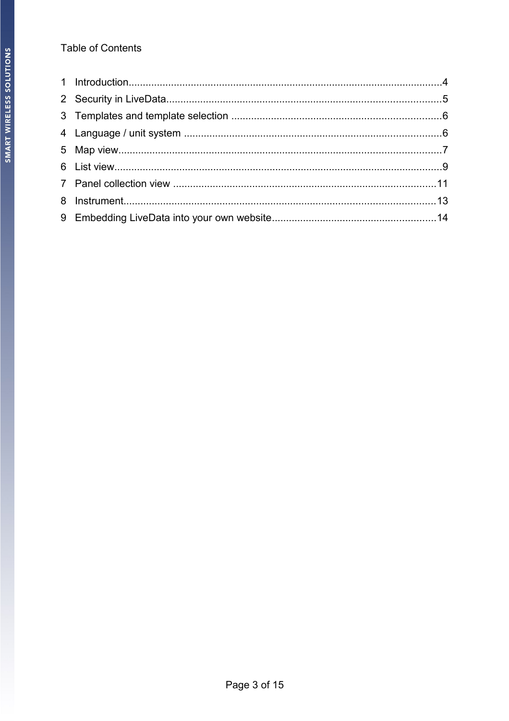### **Table of Contents**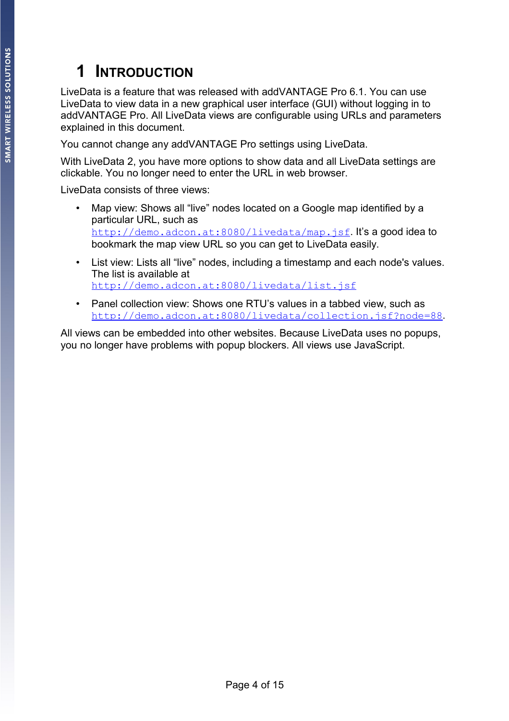### **1 INTRODUCTION**

LiveData is a feature that was released with addVANTAGE Pro 6.1. You can use LiveData to view data in a new graphical user interface (GUI) without logging in to addVANTAGE Pro. All LiveData views are configurable using URLs and parameters explained in this document.

You cannot change any addVANTAGE Pro settings using LiveData.

With LiveData 2, you have more options to show data and all LiveData settings are clickable. You no longer need to enter the URL in web browser.

LiveData consists of three views:

- Map view: Shows all "live" nodes located on a Google map identified by a particular URL, such as <http://demo.adcon.at:8080/livedata/map.jsf>. It's a good idea to bookmark the map view URL so you can get to LiveData easily.
- List view: Lists all "live" nodes, including a timestamp and each node's values. The list is available at <http://demo.adcon.at:8080/livedata/list.jsf>
- Panel collection view: Shows one RTU's values in a tabbed view, such as http://demo.adcon.at:8080/livedata/collection.jsf?node=88.

All views can be embedded into other websites. Because LiveData uses no popups, you no longer have problems with popup blockers. All views use JavaScript.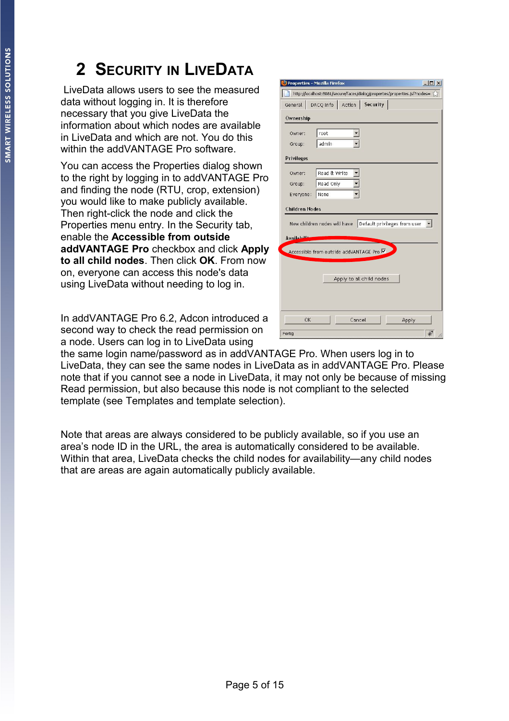## <span id="page-4-0"></span>**2 SECURITY IN LIVEDATA**

 LiveData allows users to see the measured data without logging in. It is therefore necessary that you give LiveData the information about which nodes are available in LiveData and which are not. You do this within the addVANTAGF Pro software

You can access the Properties dialog shown to the right by logging in to addVANTAGE Pro and finding the node (RTU, crop, extension) you would like to make publicly available. Then right-click the node and click the Properties menu entry. In the Security tab, enable the **Accessible from outside addVANTAGE Pro** checkbox and click **Apply to all child nodes**. Then click **OK**. From now on, everyone can access this node's data using LiveData without needing to log in.

In addVANTAGE Pro 6.2, Adcon introduced a second way to check the read permission on a node. Users can log in to LiveData using

|                       | <b>Properties - Mozilla Firefox</b>                                        | $ \Box$ $\times$ |
|-----------------------|----------------------------------------------------------------------------|------------------|
|                       | http://localhost:8081/secure/faces/dialog/properties/properties.jsf?nodes= |                  |
|                       | General DACQ Info Action Security                                          |                  |
| Ownership             |                                                                            |                  |
| Owner:                | root                                                                       |                  |
| Group:                | admin                                                                      |                  |
| <b>Privileges</b>     |                                                                            |                  |
| Owner:                | Read & Write                                                               |                  |
| Group:                | Read Only                                                                  |                  |
| Everyone:             | None                                                                       |                  |
| <b>Children Nodes</b> | New children nodes will have Default privileges from user                  |                  |
| Availabilit           | Accessible from outside addVANTAGE Pro V                                   |                  |
|                       | Apply to all child nodes                                                   |                  |
| OK                    | Cancel                                                                     | Apply            |
|                       |                                                                            |                  |

the same login name/password as in addVANTAGE Pro. When users log in to LiveData, they can see the same nodes in LiveData as in addVANTAGE Pro. Please note that if you cannot see a node in LiveData, it may not only be because of missing Read permission, but also because this node is not compliant to the selected template (see [Templates and template selection\)](#page-5-0).

Note that areas are always considered to be publicly available, so if you use an area's node ID in the URL, the area is automatically considered to be available. Within that area, LiveData checks the child nodes for availability—any child nodes that are areas are again automatically publicly available.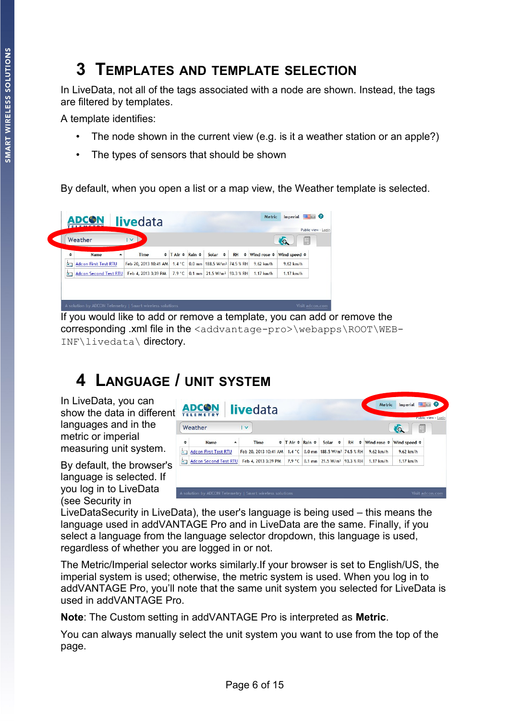### <span id="page-5-0"></span>**3 TEMPLATES AND TEMPLATE SELECTION**

In LiveData, not all of the tags associated with a node are shown. Instead, the tags are filtered by templates.

A template identifies:

- The node shown in the current view (e.g. is it a weather station or an apple?)
- The types of sensors that should be shown

By default, when you open a list or a map view, the Weather template is selected.

|    | Weather                      | $\mathbf{v}$                 |                                 |                                         |           |                         | Ю,                           |
|----|------------------------------|------------------------------|---------------------------------|-----------------------------------------|-----------|-------------------------|------------------------------|
| ٠  | Name<br>▲                    | Time                         | $\div$ T Air $\div$ Rain $\div$ | Solar $\div$                            | <b>RH</b> | $\div$ Wind rose $\div$ | Wind speed $\Leftrightarrow$ |
| Ė. | <b>Adcon First Test RTU</b>  | Feb 20, 2013 10:41 AM 1.4 °C |                                 | 0.0 mm 188.5 W/m <sup>2</sup> 74.5 % RH |           | $9.62$ km/h             | $9.62$ km/h                  |
| ۴  | <b>Adcon Second Test RTU</b> | Feb 4, 2013 3:39 PM          | $7.9 \degree$ C                 | 0.1 mm 21.5 W/m <sup>2</sup> 93.3 % RH  |           | $1.17$ km/h             | $1.17$ km/h                  |

If you would like to add or remove a template, you can add or remove the corresponding .xml file in the <addvantage-pro>\webapps\ROOT\WEB-INF\livedata\ directory.

### **4 LANGUAGE / UNIT SYSTEM**

In LiveData, you can show the data in different languages and in the metric or imperial measuring unit system.

By default, the browser's language is selected. If you log in to LiveData (see [Security in](#page-4-0) 

|    | <b>ADCON</b><br><b>TELEMETRY</b>                         |   | <b>livedata</b>       |                                 |                                               | Metric                       | Imperial                | $\bullet$<br>Public view - Login |
|----|----------------------------------------------------------|---|-----------------------|---------------------------------|-----------------------------------------------|------------------------------|-------------------------|----------------------------------|
|    | Weather                                                  |   | $\vee$                |                                 |                                               |                              | L,<br>$\sqrt{a}$        |                                  |
| ٠  | <b>Name</b>                                              | ᇫ | <b>Time</b>           | $\div$ T Air $\div$ Rain $\div$ | Solar $\div$                                  | $RH$ $\div$ Wind rose $\div$ | Wind speed $\triangleq$ |                                  |
| È  | <b>Adcon First Test RTU</b>                              |   | Feb 20, 2013 10:41 AM | $1.4 \degree$ C                 | 0.0 mm 188.5 W/m <sup>2</sup> 74.5 % RH       | $9.62$ km/h                  | $9.62$ km/h             |                                  |
| È. | <b>Adcon Second Test RTU</b>                             |   | Feb 4, 2013 3:39 PM   |                                 | 7.9 °C 0.1 mm 21.5 W/m <sup>2</sup> 93.3 % RH | $1.17$ km/h                  | $1.17$ km/h             |                                  |
|    |                                                          |   |                       |                                 |                                               |                              |                         |                                  |
|    |                                                          |   |                       |                                 |                                               |                              |                         |                                  |
|    | A solution by ADCON Telemetry   Smart wireless solutions |   |                       |                                 |                                               |                              |                         | Visit adcon.com                  |

[LiveDataSecurity in LiveData\)](#page-4-0), the user's language is being used – this means the language used in addVANTAGE Pro and in LiveData are the same. Finally, if you select a language from the language selector dropdown, this language is used, regardless of whether you are logged in or not.

The Metric/Imperial selector works similarly.If your browser is set to English/US, the imperial system is used; otherwise, the metric system is used. When you log in to addVANTAGE Pro, you'll note that the same unit system you selected for LiveData is used in addVANTAGE Pro.

**Note**: The Custom setting in addVANTAGE Pro is interpreted as **Metric**.

You can always manually select the unit system you want to use from the top of the page.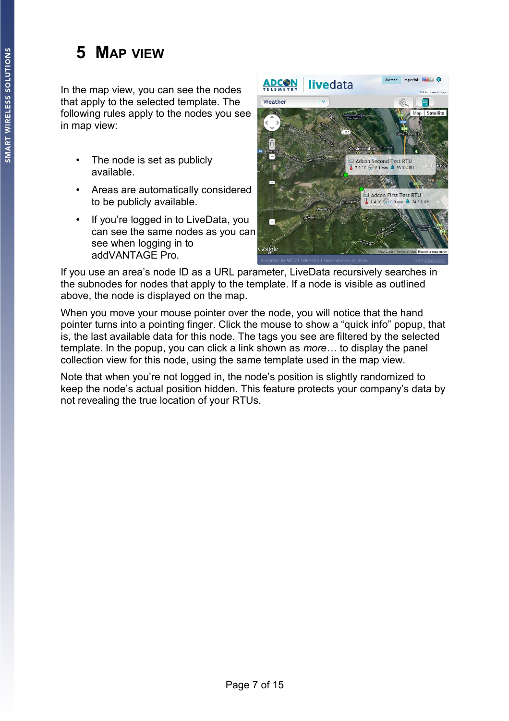### **5 MAP VIEW**

In the map view, you can see the nodes that apply to the selected template. The following rules apply to the nodes you see in map view:

- The node is set as publicly available.
- Areas are automatically considered to be publicly available.
- If you're logged in to LiveData, you can see the same nodes as you can see when logging in to addVANTAGE Pro.



If you use an area's node ID as a URL parameter, LiveData recursively searches in the subnodes for nodes that apply to the template. If a node is visible as outlined above, the node is displayed on the map.

When you move your mouse pointer over the node, you will notice that the hand pointer turns into a pointing finger. Click the mouse to show a "quick info" popup, that is, the last available data for this node. The tags you see are filtered by the selected template. In the popup, you can click a link shown as *more…* to display the panel collection view for this node, using the same template used in the map view.

Note that when you're not logged in, the node's position is slightly randomized to keep the node's actual position hidden. This feature protects your company's data by not revealing the true location of your RTUs.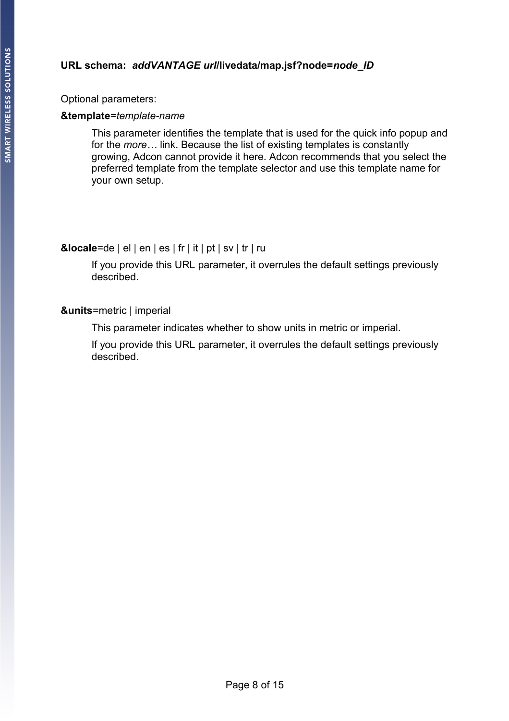### <span id="page-7-0"></span>**URL schema:** *addVANTAGE url***/livedata/map.jsf?node=***node\_ID*

Optional parameters:

#### **&template**=*template-name*

This parameter identifies the template that is used for the quick info popup and for the *more…* link. Because the list of existing templates is constantly growing, Adcon cannot provide it here. Adcon recommends that you select the preferred template from the template selector and use this template name for your own setup.

### **&locale**=de | el | en | es | fr | it | pt | sv | tr | ru

If you provide this URL parameter, it overrules the default settings previously described.

### **&units**=metric | imperial

This parameter indicates whether to show units in metric or imperial.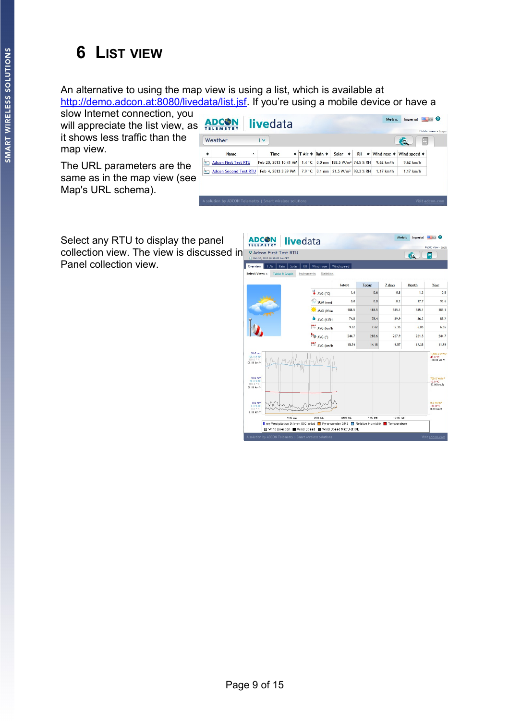### **6 LIST VIEW**

An alternative to using the map view is using a list, which is available at [http://demo.adcon.at:8080/livedata/list.jsf.](http://demo.adcon.at:8080/livedata/list.jsf) If you're using a mobile device or have a

slow Internet connection, you will appreciate the list view, as it shows less traffic than the map view.

The URL parameters are the same as in the map view (see Map's [URL schema\)](#page-7-0).



Select any RTU to display the panel collection view. The view is discussed in **PAdcon First Test RTU** [Panel collection view.](#page-10-0)

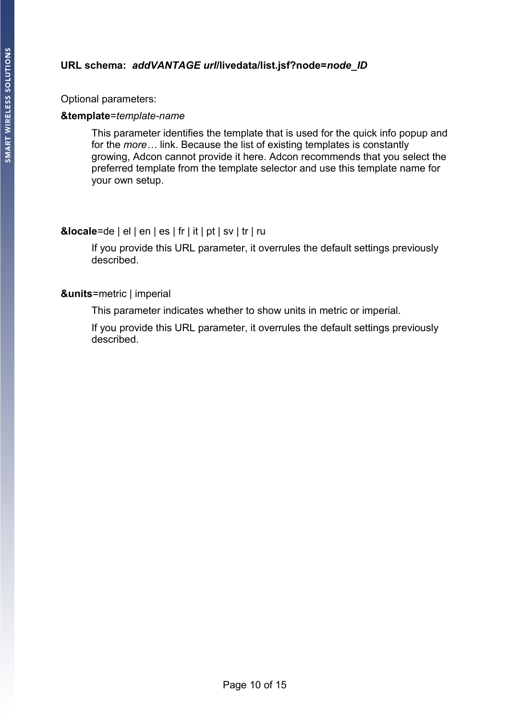### **URL schema:** *addVANTAGE url***/livedata/list.jsf?node=***node\_ID*

Optional parameters:

#### **&template**=*template-name*

This parameter identifies the template that is used for the quick info popup and for the *more…* link. Because the list of existing templates is constantly growing, Adcon cannot provide it here. Adcon recommends that you select the preferred template from the template selector and use this template name for your own setup.

### **&locale**=de | el | en | es | fr | it | pt | sv | tr | ru

If you provide this URL parameter, it overrules the default settings previously described.

### **&units**=metric | imperial

This parameter indicates whether to show units in metric or imperial.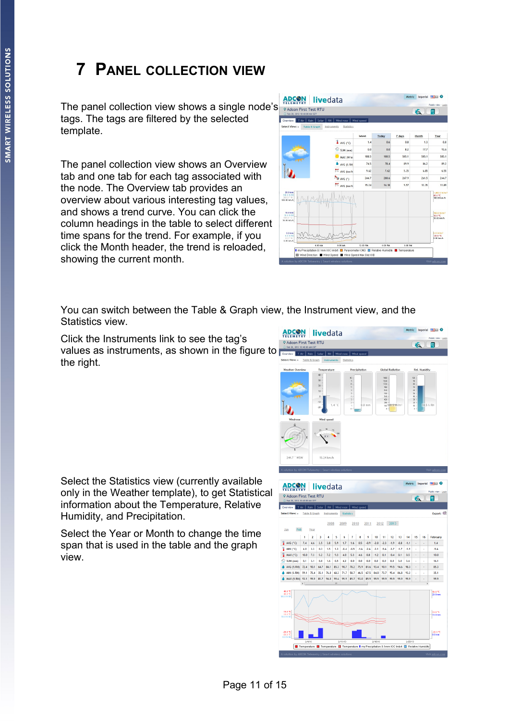### <span id="page-10-0"></span>**7 PANEL COLLECTION VIEW**

The panel collection view shows a single node's tags. The tags are filtered by the selected template.

The panel collection view shows an Overview tab and one tab for each tag associated with the node. The Overview tab provides an overview about various interesting tag values, and shows a trend curve. You can click the column headings in the table to select different time spans for the trend. For example, if you click the Month header, the trend is reloaded, showing the current month.

| <b>Q Adcon First Test RTU</b><br>(3) Feb 20, 2013 10:40:00 AM CET |                  |                                                |            |         |         | <b>to</b> | 井                                                  |
|-------------------------------------------------------------------|------------------|------------------------------------------------|------------|---------|---------|-----------|----------------------------------------------------|
| T Air<br>Overview                                                 | Rain Solar<br>RH | Wind rose                                      | Wind speed |         |         |           |                                                    |
| Select View: »                                                    | Table & Graph    | Instruments<br><b>Statistics</b>               | latest     | Today   | 7 days  | Month     | Year                                               |
|                                                                   |                  | $\sum_{i=1}^{n}$ AVG (*C)                      | 1.4        | 0.6     | 0.8     | 1.3       | 0.8                                                |
|                                                                   |                  | $\overrightarrow{A}$ SUM (mm)                  | 0.0        | 0.0     | 8.2     | 17.7      | 93.6                                               |
|                                                                   |                  | MAX (W/m                                       | 188.5      | 188.5   | 585.1   | 585.1     | 585.1                                              |
|                                                                   |                  | AVG (% RH)                                     | 74.5       | 78.4    | 89.9    | 86.2      | 89.2                                               |
|                                                                   |                  | $\stackrel{\text{max}}{\rightarrow}$ AVG (km/h | 9.62       | 7.62    | 5.35    | 6.85      | 6.55                                               |
|                                                                   |                  | AVG (*)                                        | 244.7      | 288.6   | 267.9   | 261.5     | 244.7                                              |
|                                                                   |                  | $\stackrel{\text{max}}{\rightarrow}$ AVG (km/h | 15.24      | 14.18   | 9.57    | 12.35     | 11.89                                              |
| $20.0$ mm<br>100.0 % 851<br>$360.0$ $N$<br>100.00 km/h            |                  |                                                |            |         |         |           | 1,400.0 W/m <sup>1</sup><br>40.0 °C<br>100.00 km/h |
| $10.0 \text{ mm}$<br>50.0 % 884<br>180.0 ° S<br>50.00 km/h        |                  |                                                |            |         |         |           | ma a w/m <sup>a</sup><br>10.0 °C<br>50.00 km/h     |
| $0.0 \text{ mm}$<br>$0.0 \times 34$<br>$0.0 * N$<br>$0.00$ km $A$ |                  |                                                |            |         |         |           | 0.0 W/m <sup>2</sup><br>$-20.0$ °C<br>$0.00$ km/h  |
|                                                                   | 4:00 AM          | 8:00 AM                                        | 12:00 PM   | 4:00 PM | 8:00 PM |           |                                                    |

You can switch between the Table & Graph view, the Instrument view, and the Statistics view.

Click the Instruments link to see the tag's values as instruments, as shown in the figure to the right.

Select the Statistics view (currently available only in the Weather template), to get Statistical information about the Temperature, Relative Humidity, and Precipitation.

Select the Year or Month to change the time span that is used in the table and the graph view.



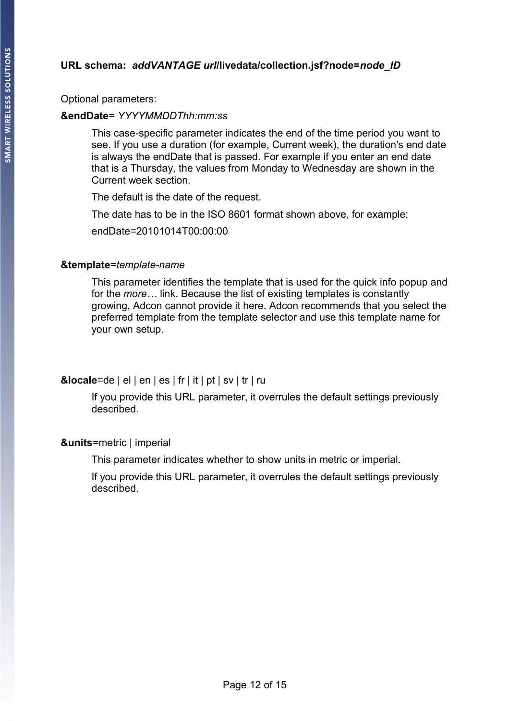### **URL schema:** *addVANTAGE url***/livedata/collection.jsf?node=***node\_ID*

Optional parameters:

#### **&endDate**= *YYYYMMDDThh:mm:ss*

This case-specific parameter indicates the end of the time period you want to see. If you use a duration (for example, Current week), the duration's end date is always the endDate that is passed. For example if you enter an end date that is a Thursday, the values from Monday to Wednesday are shown in the Current week section.

The default is the date of the request.

The date has to be in the ISO 8601 format shown above, for example:

endDate=20101014T00:00:00

#### **&template**=*template-name*

This parameter identifies the template that is used for the quick info popup and for the *more…* link. Because the list of existing templates is constantly growing, Adcon cannot provide it here. Adcon recommends that you select the preferred template from the template selector and use this template name for your own setup.

### **&locale**=de | el | en | es | fr | it | pt | sv | tr | ru

If you provide this URL parameter, it overrules the default settings previously described.

#### **&units**=metric | imperial

This parameter indicates whether to show units in metric or imperial.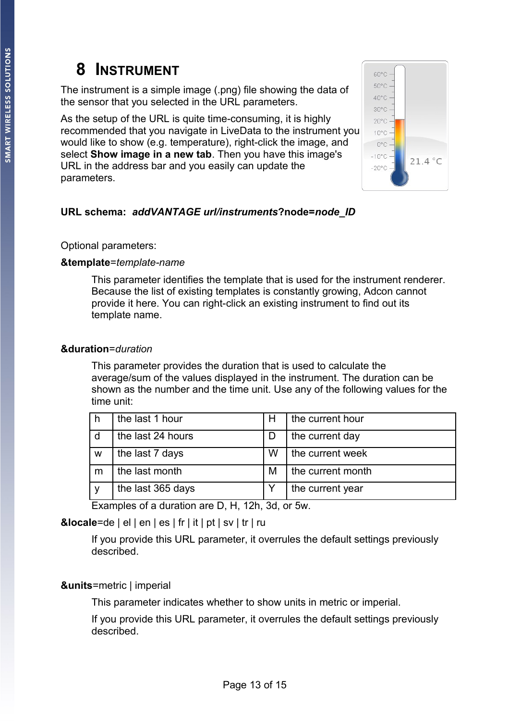### **8 INSTRUMENT**

The instrument is a simple image (.png) file showing the data of the sensor that you selected in the URL parameters.

As the setup of the URL is quite time-consuming, it is highly recommended that you navigate in LiveData to the instrument you would like to show (e.g. temperature), right-click the image, and select **Show image in a new tab**. Then you have this image's URL in the address bar and you easily can update the parameters.



### **URL schema:** *addVANTAGE url/instruments***?node=***node\_ID*

### Optional parameters:

### **&template**=*template-name*

This parameter identifies the template that is used for the instrument renderer. Because the list of existing templates is constantly growing, Adcon cannot provide it here. You can right-click an existing instrument to find out its template name.

### **&duration**=*duration*

This parameter provides the duration that is used to calculate the average/sum of the values displayed in the instrument. The duration can be shown as the number and the time unit. Use any of the following values for the time unit:

|   | the last 1 hour   | н | the current hour  |
|---|-------------------|---|-------------------|
| d | the last 24 hours |   | the current day   |
| w | the last 7 days   | W | the current week  |
| m | the last month    | M | the current month |
|   | the last 365 days |   | the current year  |

Examples of a duration are D, H, 12h, 3d, or 5w.

### **&locale**=de | el | en | es | fr | it | pt | sv | tr | ru

If you provide this URL parameter, it overrules the default settings previously described.

### **&units**=metric | imperial

This parameter indicates whether to show units in metric or imperial.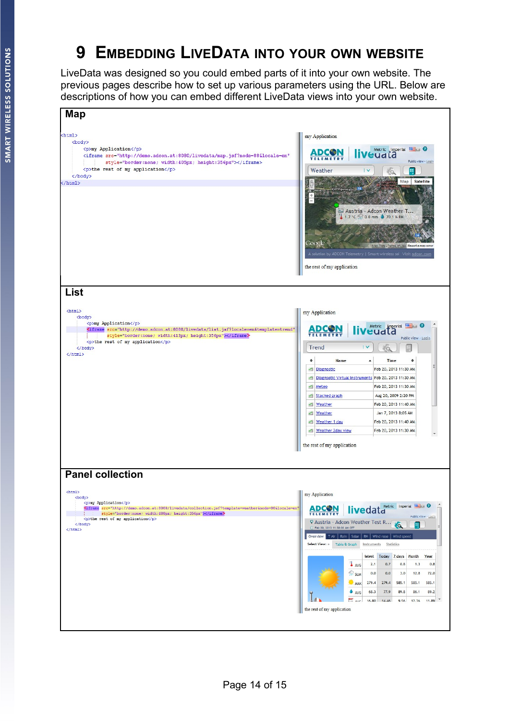### **9 EMBEDDING LIVEDATA INTO YOUR OWN WEBSITE**

LiveData was designed so you could embed parts of it into your own website. The previous pages describe how to set up various parameters using the URL. Below are descriptions of how you can embed different LiveData views into your own website.